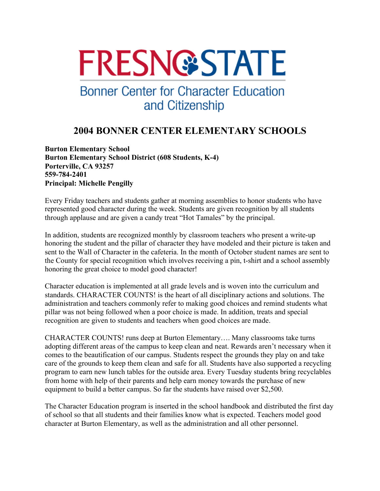# **FRESN@STATE**

## **Bonner Center for Character Education** and Citizenship

### **2004 BONNER CENTER ELEMENTARY SCHOOLS**

**Burton Elementary School Burton Elementary School District (608 Students, K-4) Porterville, CA 93257 559-784-2401 Principal: Michelle Pengilly** 

Every Friday teachers and students gather at morning assemblies to honor students who have represented good character during the week. Students are given recognition by all students through applause and are given a candy treat "Hot Tamales" by the principal.

In addition, students are recognized monthly by classroom teachers who present a write-up honoring the student and the pillar of character they have modeled and their picture is taken and sent to the Wall of Character in the cafeteria. In the month of October student names are sent to the County for special recognition which involves receiving a pin, t-shirt and a school assembly honoring the great choice to model good character!

Character education is implemented at all grade levels and is woven into the curriculum and standards. CHARACTER COUNTS! is the heart of all disciplinary actions and solutions. The administration and teachers commonly refer to making good choices and remind students what pillar was not being followed when a poor choice is made. In addition, treats and special recognition are given to students and teachers when good choices are made.

CHARACTER COUNTS! runs deep at Burton Elementary…. Many classrooms take turns adopting different areas of the campus to keep clean and neat. Rewards aren't necessary when it comes to the beautification of our campus. Students respect the grounds they play on and take care of the grounds to keep them clean and safe for all. Students have also supported a recycling program to earn new lunch tables for the outside area. Every Tuesday students bring recyclables from home with help of their parents and help earn money towards the purchase of new equipment to build a better campus. So far the students have raised over \$2,500.

The Character Education program is inserted in the school handbook and distributed the first day of school so that all students and their families know what is expected. Teachers model good character at Burton Elementary, as well as the administration and all other personnel.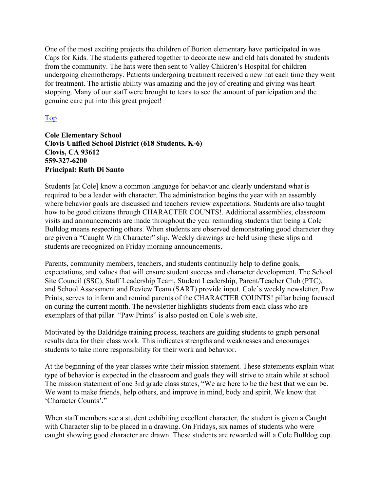One of the most exciting projects the children of Burton elementary have participated in was Caps for Kids. The students gathered together to decorate new and old hats donated by students from the community. The hats were then sent to Valley Children's Hospital for children undergoing chemotherapy. Patients undergoing treatment received a new hat each time they went for treatment. The artistic ability was amazing and the joy of creating and giving was heart stopping. Many of our staff were brought to tears to see the amount of participation and the genuine care put into this great project!

#### Top

**Cole Elementary School Clovis Unified School District (618 Students, K-6) Clovis, CA 93612 559-327-6200 Principal: Ruth Di Santo** 

Students [at Cole] know a common language for behavior and clearly understand what is required to be a leader with character. The administration begins the year with an assembly where behavior goals are discussed and teachers review expectations. Students are also taught how to be good citizens through CHARACTER COUNTS!. Additional assemblies, classroom visits and announcements are made throughout the year reminding students that being a Cole Bulldog means respecting others. When students are observed demonstrating good character they are given a "Caught With Character" slip. Weekly drawings are held using these slips and students are recognized on Friday morning announcements.

Parents, community members, teachers, and students continually help to define goals, expectations, and values that will ensure student success and character development. The School Site Council (SSC), Staff Leadership Team, Student Leadership, Parent/Teacher Club (PTC), and School Assessment and Review Team (SART) provide input. Cole's weekly newsletter, Paw Prints, serves to inform and remind parents of the CHARACTER COUNTS! pillar being focused on during the current month. The newsletter highlights students from each class who are exemplars of that pillar. "Paw Prints" is also posted on Cole's web site.

Motivated by the Baldridge training process, teachers are guiding students to graph personal results data for their class work. This indicates strengths and weaknesses and encourages students to take more responsibility for their work and behavior.

At the beginning of the year classes write their mission statement. These statements explain what type of behavior is expected in the classroom and goals they will strive to attain while at school. The mission statement of one 3rd grade class states, "We are here to be the best that we can be. We want to make friends, help others, and improve in mind, body and spirit. We know that 'Character Counts'."

When staff members see a student exhibiting excellent character, the student is given a Caught with Character slip to be placed in a drawing. On Fridays, six names of students who were caught showing good character are drawn. These students are rewarded will a Cole Bulldog cup.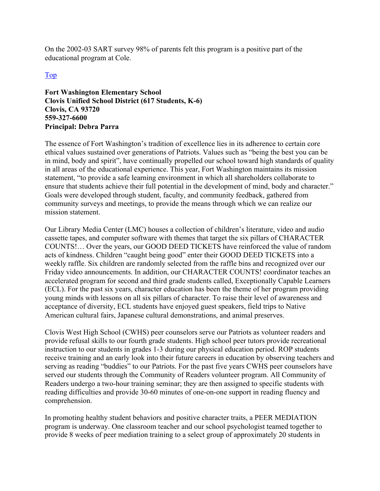On the 2002-03 SART survey 98% of parents felt this program is a positive part of the educational program at Cole.

#### Top

**Fort Washington Elementary School Clovis Unified School District (617 Students, K-6) Clovis, CA 93720 559-327-6600 Principal: Debra Parra** 

The essence of Fort Washington's tradition of excellence lies in its adherence to certain core ethical values sustained over generations of Patriots. Values such as "being the best you can be in mind, body and spirit", have continually propelled our school toward high standards of quality in all areas of the educational experience. This year, Fort Washington maintains its mission statement, "to provide a safe learning environment in which all shareholders collaborate to ensure that students achieve their full potential in the development of mind, body and character." Goals were developed through student, faculty, and community feedback, gathered from community surveys and meetings, to provide the means through which we can realize our mission statement.

Our Library Media Center (LMC) houses a collection of children's literature, video and audio cassette tapes, and computer software with themes that target the six pillars of CHARACTER COUNTS!… Over the years, our GOOD DEED TICKETS have reinforced the value of random acts of kindness. Children "caught being good" enter their GOOD DEED TICKETS into a weekly raffle. Six children are randomly selected from the raffle bins and recognized over our Friday video announcements. In addition, our CHARACTER COUNTS! coordinator teaches an accelerated program for second and third grade students called, Exceptionally Capable Learners (ECL). For the past six years, character education has been the theme of her program providing young minds with lessons on all six pillars of character. To raise their level of awareness and acceptance of diversity, ECL students have enjoyed guest speakers, field trips to Native American cultural fairs, Japanese cultural demonstrations, and animal preserves.

Clovis West High School (CWHS) peer counselors serve our Patriots as volunteer readers and provide refusal skills to our fourth grade students. High school peer tutors provide recreational instruction to our students in grades 1-3 during our physical education period. ROP students receive training and an early look into their future careers in education by observing teachers and serving as reading "buddies" to our Patriots. For the past five years CWHS peer counselors have served our students through the Community of Readers volunteer program. All Community of Readers undergo a two-hour training seminar; they are then assigned to specific students with reading difficulties and provide 30-60 minutes of one-on-one support in reading fluency and comprehension.

In promoting healthy student behaviors and positive character traits, a PEER MEDIATION program is underway. One classroom teacher and our school psychologist teamed together to provide 8 weeks of peer mediation training to a select group of approximately 20 students in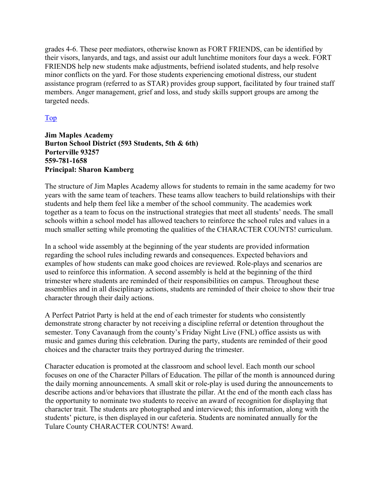grades 4-6. These peer mediators, otherwise known as FORT FRIENDS, can be identified by their visors, lanyards, and tags, and assist our adult lunchtime monitors four days a week. FORT FRIENDS help new students make adjustments, befriend isolated students, and help resolve minor conflicts on the yard. For those students experiencing emotional distress, our student assistance program (referred to as STAR) provides group support, facilitated by four trained staff members. Anger management, grief and loss, and study skills support groups are among the targeted needs.

#### Top

**Jim Maples Academy Burton School District (593 Students, 5th & 6th) Porterville 93257 559-781-1658 Principal: Sharon Kamberg** 

The structure of Jim Maples Academy allows for students to remain in the same academy for two years with the same team of teachers. These teams allow teachers to build relationships with their students and help them feel like a member of the school community. The academies work together as a team to focus on the instructional strategies that meet all students' needs. The small schools within a school model has allowed teachers to reinforce the school rules and values in a much smaller setting while promoting the qualities of the CHARACTER COUNTS! curriculum.

In a school wide assembly at the beginning of the year students are provided information regarding the school rules including rewards and consequences. Expected behaviors and examples of how students can make good choices are reviewed. Role-plays and scenarios are used to reinforce this information. A second assembly is held at the beginning of the third trimester where students are reminded of their responsibilities on campus. Throughout these assemblies and in all disciplinary actions, students are reminded of their choice to show their true character through their daily actions.

A Perfect Patriot Party is held at the end of each trimester for students who consistently demonstrate strong character by not receiving a discipline referral or detention throughout the semester. Tony Cavanaugh from the county's Friday Night Live (FNL) office assists us with music and games during this celebration. During the party, students are reminded of their good choices and the character traits they portrayed during the trimester.

Character education is promoted at the classroom and school level. Each month our school focuses on one of the Character Pillars of Education. The pillar of the month is announced during the daily morning announcements. A small skit or role-play is used during the announcements to describe actions and/or behaviors that illustrate the pillar. At the end of the month each class has the opportunity to nominate two students to receive an award of recognition for displaying that character trait. The students are photographed and interviewed; this information, along with the students' picture, is then displayed in our cafeteria. Students are nominated annually for the Tulare County CHARACTER COUNTS! Award.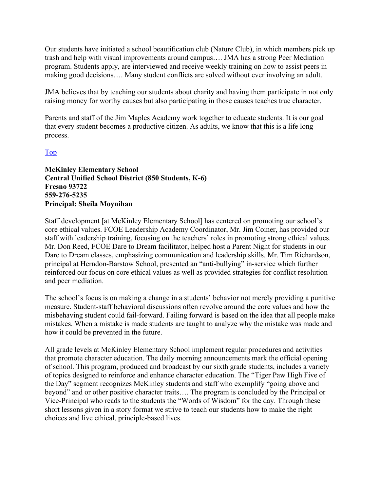Our students have initiated a school beautification club (Nature Club), in which members pick up trash and help with visual improvements around campus…. JMA has a strong Peer Mediation program. Students apply, are interviewed and receive weekly training on how to assist peers in making good decisions…. Many student conflicts are solved without ever involving an adult.

JMA believes that by teaching our students about charity and having them participate in not only raising money for worthy causes but also participating in those causes teaches true character.

Parents and staff of the Jim Maples Academy work together to educate students. It is our goal that every student becomes a productive citizen. As adults, we know that this is a life long process.

#### Top

**McKinley Elementary School Central Unified School District (850 Students, K-6) Fresno 93722 559-276-5235 Principal: Sheila Moynihan** 

Staff development [at McKinley Elementary School] has centered on promoting our school's core ethical values. FCOE Leadership Academy Coordinator, Mr. Jim Coiner, has provided our staff with leadership training, focusing on the teachers' roles in promoting strong ethical values. Mr. Don Reed, FCOE Dare to Dream facilitator, helped host a Parent Night for students in our Dare to Dream classes, emphasizing communication and leadership skills. Mr. Tim Richardson, principal at Herndon-Barstow School, presented an "anti-bullying" in-service which further reinforced our focus on core ethical values as well as provided strategies for conflict resolution and peer mediation.

The school's focus is on making a change in a students' behavior not merely providing a punitive measure. Student-staff behavioral discussions often revolve around the core values and how the misbehaving student could fail-forward. Failing forward is based on the idea that all people make mistakes. When a mistake is made students are taught to analyze why the mistake was made and how it could be prevented in the future.

All grade levels at McKinley Elementary School implement regular procedures and activities that promote character education. The daily morning announcements mark the official opening of school. This program, produced and broadcast by our sixth grade students, includes a variety of topics designed to reinforce and enhance character education. The "Tiger Paw High Five of the Day" segment recognizes McKinley students and staff who exemplify "going above and beyond" and or other positive character traits…. The program is concluded by the Principal or Vice-Principal who reads to the students the "Words of Wisdom" for the day. Through these short lessons given in a story format we strive to teach our students how to make the right choices and live ethical, principle-based lives.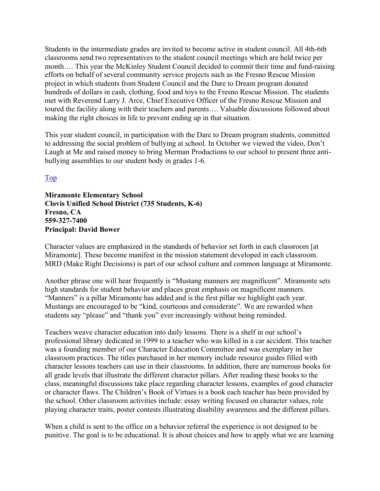Students in the intermediate grades are invited to become active in student council. All 4th-6th classrooms send two representatives to the student council meetings which are held twice per month…. This year the McKinley Student Council decided to commit their time and fund-raising efforts on behalf of several community service projects such as the Fresno Rescue Mission project in which students from Student Council and the Dare to Dream program donated hundreds of dollars in cash, clothing, food and toys to the Fresno Rescue Mission. The students met with Reverend Larry J. Arce, Chief Executive Officer of the Fresno Rescue Mission and toured the facility along with their teachers and parents…. Valuable discussions followed about making the right choices in life to prevent ending up in that situation.

This year student council, in participation with the Dare to Dream program students, committed to addressing the social problem of bullying at school. In October we viewed the video, Don't Laugh at Me and raised money to bring Merman Productions to our school to present three antibullying assemblies to our student body in grades 1-6.

#### Top

**Miramonte Elementary School Clovis Unified School District (735 Students, K-6) Fresno, CA 559-327-7400 Principal: David Bower** 

Character values are emphasized in the standards of behavior set forth in each classroom [at Miramonte]. These become manifest in the mission statement developed in each classroom. MRD (Make Right Decisions) is part of our school culture and common language at Miramonte.

Another phrase one will hear frequently is "Mustang manners are magnificent". Miramonte sets high standards for student behavior and places great emphasis on magnificent manners. "Manners" is a pillar Miramonte has added and is the first pillar we highlight each year. Mustangs are encouraged to be "kind, courteous and considerate". We are rewarded when students say "please" and "thank you" ever increasingly without being reminded.

Teachers weave character education into daily lessons. There is a shelf in our school's professional library dedicated in 1999 to a teacher who was killed in a car accident. This teacher was a founding member of our Character Education Committee and was exemplary in her classroom practices. The titles purchased in her memory include resource guides filled with character lessons teachers can use in their classrooms. In addition, there are numerous books for all grade levels that illustrate the different character pillars. After reading these books to the class, meaningful discussions take place regarding character lessons, examples of good character or character flaws. The Children's Book of Virtues is a book each teacher has been provided by the school. Other classroom activities include: essay writing focused on character values, role playing character traits, poster contests illustrating disability awareness and the different pillars.

When a child is sent to the office on a behavior referral the experience is not designed to be punitive. The goal is to be educational. It is about choices and how to apply what we are learning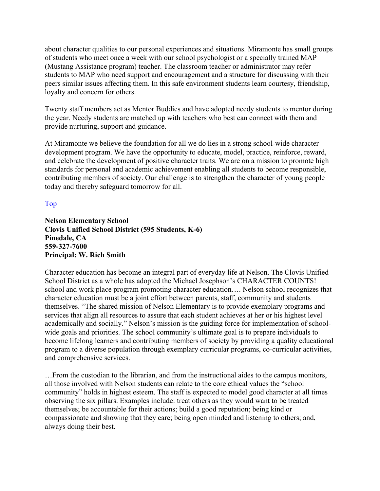about character qualities to our personal experiences and situations. Miramonte has small groups of students who meet once a week with our school psychologist or a specially trained MAP (Mustang Assistance program) teacher. The classroom teacher or administrator may refer students to MAP who need support and encouragement and a structure for discussing with their peers similar issues affecting them. In this safe environment students learn courtesy, friendship, loyalty and concern for others.

Twenty staff members act as Mentor Buddies and have adopted needy students to mentor during the year. Needy students are matched up with teachers who best can connect with them and provide nurturing, support and guidance.

At Miramonte we believe the foundation for all we do lies in a strong school-wide character development program. We have the opportunity to educate, model, practice, reinforce, reward, and celebrate the development of positive character traits. We are on a mission to promote high standards for personal and academic achievement enabling all students to become responsible, contributing members of society. Our challenge is to strengthen the character of young people today and thereby safeguard tomorrow for all.

Top

**Nelson Elementary School Clovis Unified School District (595 Students, K-6) Pinedale, CA 559-327-7600 Principal: W. Rich Smith** 

Character education has become an integral part of everyday life at Nelson. The Clovis Unified School District as a whole has adopted the Michael Josephson's CHARACTER COUNTS! school and work place program promoting character education…. Nelson school recognizes that character education must be a joint effort between parents, staff, community and students themselves. "The shared mission of Nelson Elementary is to provide exemplary programs and services that align all resources to assure that each student achieves at her or his highest level academically and socially." Nelson's mission is the guiding force for implementation of schoolwide goals and priorities. The school community's ultimate goal is to prepare individuals to become lifelong learners and contributing members of society by providing a quality educational program to a diverse population through exemplary curricular programs, co-curricular activities, and comprehensive services.

…From the custodian to the librarian, and from the instructional aides to the campus monitors, all those involved with Nelson students can relate to the core ethical values the "school community" holds in highest esteem. The staff is expected to model good character at all times observing the six pillars. Examples include: treat others as they would want to be treated themselves; be accountable for their actions; build a good reputation; being kind or compassionate and showing that they care; being open minded and listening to others; and, always doing their best.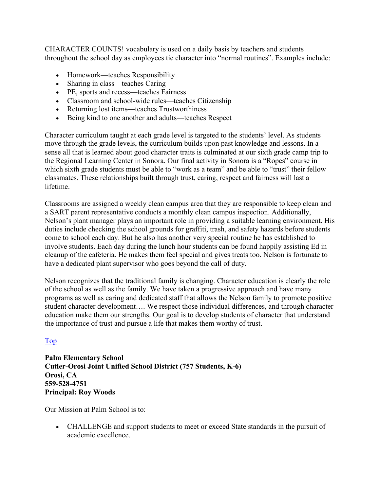CHARACTER COUNTS! vocabulary is used on a daily basis by teachers and students throughout the school day as employees tie character into "normal routines". Examples include:

- Homework—teaches Responsibility
- Sharing in class—teaches Caring
- PE, sports and recess—teaches Fairness
- Classroom and school-wide rules—teaches Citizenship
- Returning lost items—teaches Trustworthiness
- Being kind to one another and adults—teaches Respect

Character curriculum taught at each grade level is targeted to the students' level. As students move through the grade levels, the curriculum builds upon past knowledge and lessons. In a sense all that is learned about good character traits is culminated at our sixth grade camp trip to the Regional Learning Center in Sonora. Our final activity in Sonora is a "Ropes" course in which sixth grade students must be able to "work as a team" and be able to "trust" their fellow classmates. These relationships built through trust, caring, respect and fairness will last a lifetime.

Classrooms are assigned a weekly clean campus area that they are responsible to keep clean and a SART parent representative conducts a monthly clean campus inspection. Additionally, Nelson's plant manager plays an important role in providing a suitable learning environment. His duties include checking the school grounds for graffiti, trash, and safety hazards before students come to school each day. But he also has another very special routine he has established to involve students. Each day during the lunch hour students can be found happily assisting Ed in cleanup of the cafeteria. He makes them feel special and gives treats too. Nelson is fortunate to have a dedicated plant supervisor who goes beyond the call of duty.

Nelson recognizes that the traditional family is changing. Character education is clearly the role of the school as well as the family. We have taken a progressive approach and have many programs as well as caring and dedicated staff that allows the Nelson family to promote positive student character development…. We respect those individual differences, and through character education make them our strengths. Our goal is to develop students of character that understand the importance of trust and pursue a life that makes them worthy of trust.

#### Top

**Palm Elementary School Cutler-Orosi Joint Unified School District (757 Students, K-6) Orosi, CA 559-528-4751 Principal: Roy Woods** 

Our Mission at Palm School is to:

• CHALLENGE and support students to meet or exceed State standards in the pursuit of academic excellence.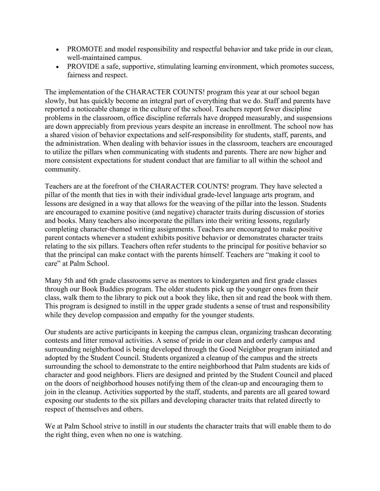- PROMOTE and model responsibility and respectful behavior and take pride in our clean, well-maintained campus.
- PROVIDE a safe, supportive, stimulating learning environment, which promotes success, fairness and respect.

The implementation of the CHARACTER COUNTS! program this year at our school began slowly, but has quickly become an integral part of everything that we do. Staff and parents have reported a noticeable change in the culture of the school. Teachers report fewer discipline problems in the classroom, office discipline referrals have dropped measurably, and suspensions are down appreciably from previous years despite an increase in enrollment. The school now has a shared vision of behavior expectations and self-responsibility for students, staff, parents, and the administration. When dealing with behavior issues in the classroom, teachers are encouraged to utilize the pillars when communicating with students and parents. There are now higher and more consistent expectations for student conduct that are familiar to all within the school and community.

Teachers are at the forefront of the CHARACTER COUNTS! program. They have selected a pillar of the month that ties in with their individual grade-level language arts program, and lessons are designed in a way that allows for the weaving of the pillar into the lesson. Students are encouraged to examine positive (and negative) character traits during discussion of stories and books. Many teachers also incorporate the pillars into their writing lessons, regularly completing character-themed writing assignments. Teachers are encouraged to make positive parent contacts whenever a student exhibits positive behavior or demonstrates character traits relating to the six pillars. Teachers often refer students to the principal for positive behavior so that the principal can make contact with the parents himself. Teachers are "making it cool to care" at Palm School.

Many 5th and 6th grade classrooms serve as mentors to kindergarten and first grade classes through our Book Buddies program. The older students pick up the younger ones from their class, walk them to the library to pick out a book they like, then sit and read the book with them. This program is designed to instill in the upper grade students a sense of trust and responsibility while they develop compassion and empathy for the younger students.

Our students are active participants in keeping the campus clean, organizing trashcan decorating contests and litter removal activities. A sense of pride in our clean and orderly campus and surrounding neighborhood is being developed through the Good Neighbor program initiated and adopted by the Student Council. Students organized a cleanup of the campus and the streets surrounding the school to demonstrate to the entire neighborhood that Palm students are kids of character and good neighbors. Fliers are designed and printed by the Student Council and placed on the doors of neighborhood houses notifying them of the clean-up and encouraging them to join in the cleanup. Activities supported by the staff, students, and parents are all geared toward exposing our students to the six pillars and developing character traits that related directly to respect of themselves and others.

We at Palm School strive to instill in our students the character traits that will enable them to do the right thing, even when no one is watching.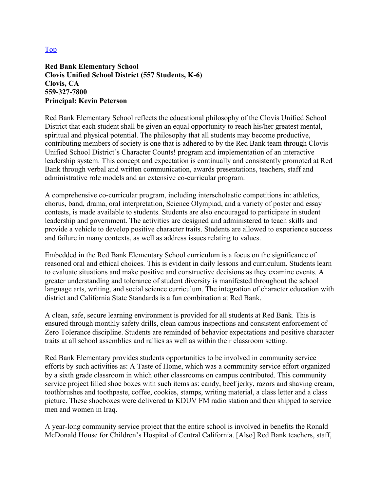#### Top

**Red Bank Elementary School Clovis Unified School District (557 Students, K-6) Clovis, CA 559-327-7800 Principal: Kevin Peterson** 

Red Bank Elementary School reflects the educational philosophy of the Clovis Unified School District that each student shall be given an equal opportunity to reach his/her greatest mental, spiritual and physical potential. The philosophy that all students may become productive, contributing members of society is one that is adhered to by the Red Bank team through Clovis Unified School District's Character Counts! program and implementation of an interactive leadership system. This concept and expectation is continually and consistently promoted at Red Bank through verbal and written communication, awards presentations, teachers, staff and administrative role models and an extensive co-curricular program.

A comprehensive co-curricular program, including interscholastic competitions in: athletics, chorus, band, drama, oral interpretation, Science Olympiad, and a variety of poster and essay contests, is made available to students. Students are also encouraged to participate in student leadership and government. The activities are designed and administered to teach skills and provide a vehicle to develop positive character traits. Students are allowed to experience success and failure in many contexts, as well as address issues relating to values.

Embedded in the Red Bank Elementary School curriculum is a focus on the significance of reasoned oral and ethical choices. This is evident in daily lessons and curriculum. Students learn to evaluate situations and make positive and constructive decisions as they examine events. A greater understanding and tolerance of student diversity is manifested throughout the school language arts, writing, and social science curriculum. The integration of character education with district and California State Standards is a fun combination at Red Bank.

A clean, safe, secure learning environment is provided for all students at Red Bank. This is ensured through monthly safety drills, clean campus inspections and consistent enforcement of Zero Tolerance discipline. Students are reminded of behavior expectations and positive character traits at all school assemblies and rallies as well as within their classroom setting.

Red Bank Elementary provides students opportunities to be involved in community service efforts by such activities as: A Taste of Home, which was a community service effort organized by a sixth grade classroom in which other classrooms on campus contributed. This community service project filled shoe boxes with such items as: candy, beef jerky, razors and shaving cream, toothbrushes and toothpaste, coffee, cookies, stamps, writing material, a class letter and a class picture. These shoeboxes were delivered to KDUV FM radio station and then shipped to service men and women in Iraq.

A year-long community service project that the entire school is involved in benefits the Ronald McDonald House for Children's Hospital of Central California. [Also] Red Bank teachers, staff,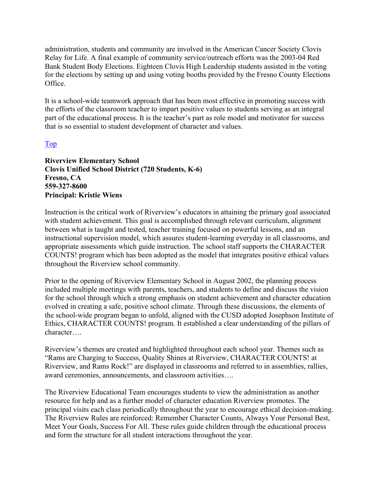administration, students and community are involved in the American Cancer Society Clovis Relay for Life. A final example of community service/outreach efforts was the 2003-04 Red Bank Student Body Elections. Eighteen Clovis High Leadership students assisted in the voting for the elections by setting up and using voting booths provided by the Fresno County Elections Office.

It is a school-wide teamwork approach that has been most effective in promoting success with the efforts of the classroom teacher to impart positive values to students serving as an integral part of the educational process. It is the teacher's part as role model and motivator for success that is so essential to student development of character and values.

#### Top

**Riverview Elementary School Clovis Unified School District (720 Students, K-6) Fresno, CA 559-327-8600 Principal: Kristie Wiens** 

Instruction is the critical work of Riverview's educators in attaining the primary goal associated with student achievement. This goal is accomplished through relevant curriculum, alignment between what is taught and tested, teacher training focused on powerful lessons, and an instructional supervision model, which assures student-learning everyday in all classrooms, and appropriate assessments which guide instruction. The school staff supports the CHARACTER COUNTS! program which has been adopted as the model that integrates positive ethical values throughout the Riverview school community.

Prior to the opening of Riverview Elementary School in August 2002, the planning process included multiple meetings with parents, teachers, and students to define and discuss the vision for the school through which a strong emphasis on student achievement and character education evolved in creating a safe, positive school climate. Through these discussions, the elements of the school-wide program began to unfold, aligned with the CUSD adopted Josephson Institute of Ethics, CHARACTER COUNTS! program. It established a clear understanding of the pillars of character….

Riverview's themes are created and highlighted throughout each school year. Themes such as "Rams are Charging to Success, Quality Shines at Riverview, CHARACTER COUNTS! at Riverview, and Rams Rock!" are displayed in classrooms and referred to in assemblies, rallies, award ceremonies, announcements, and classroom activities….

The Riverview Educational Team encourages students to view the administration as another resource for help and as a further model of character education Riverview promotes. The principal visits each class periodically throughout the year to encourage ethical decision-making. The Riverview Rules are reinforced: Remember Character Counts, Always Your Personal Best, Meet Your Goals, Success For All. These rules guide children through the educational process and form the structure for all student interactions throughout the year.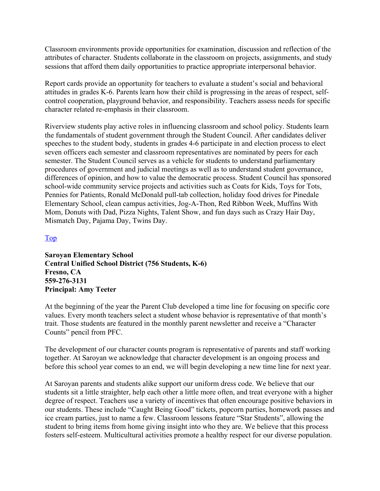Classroom environments provide opportunities for examination, discussion and reflection of the attributes of character. Students collaborate in the classroom on projects, assignments, and study sessions that afford them daily opportunities to practice appropriate interpersonal behavior.

Report cards provide an opportunity for teachers to evaluate a student's social and behavioral attitudes in grades K-6. Parents learn how their child is progressing in the areas of respect, selfcontrol cooperation, playground behavior, and responsibility. Teachers assess needs for specific character related re-emphasis in their classroom.

Riverview students play active roles in influencing classroom and school policy. Students learn the fundamentals of student government through the Student Council. After candidates deliver speeches to the student body, students in grades 4-6 participate in and election process to elect seven officers each semester and classroom representatives are nominated by peers for each semester. The Student Council serves as a vehicle for students to understand parliamentary procedures of government and judicial meetings as well as to understand student governance, differences of opinion, and how to value the democratic process. Student Council has sponsored school-wide community service projects and activities such as Coats for Kids, Toys for Tots, Pennies for Patients, Ronald McDonald pull-tab collection, holiday food drives for Pinedale Elementary School, clean campus activities, Jog-A-Thon, Red Ribbon Week, Muffins With Mom, Donuts with Dad, Pizza Nights, Talent Show, and fun days such as Crazy Hair Day, Mismatch Day, Pajama Day, Twins Day.

#### Top

**Saroyan Elementary School Central Unified School District (756 Students, K-6) Fresno, CA 559-276-3131 Principal: Amy Teeter** 

At the beginning of the year the Parent Club developed a time line for focusing on specific core values. Every month teachers select a student whose behavior is representative of that month's trait. Those students are featured in the monthly parent newsletter and receive a "Character Counts" pencil from PFC.

The development of our character counts program is representative of parents and staff working together. At Saroyan we acknowledge that character development is an ongoing process and before this school year comes to an end, we will begin developing a new time line for next year.

At Saroyan parents and students alike support our uniform dress code. We believe that our students sit a little straighter, help each other a little more often, and treat everyone with a higher degree of respect. Teachers use a variety of incentives that often encourage positive behaviors in our students. These include "Caught Being Good" tickets, popcorn parties, homework passes and ice cream parties, just to name a few. Classroom lessons feature "Star Students", allowing the student to bring items from home giving insight into who they are. We believe that this process fosters self-esteem. Multicultural activities promote a healthy respect for our diverse population.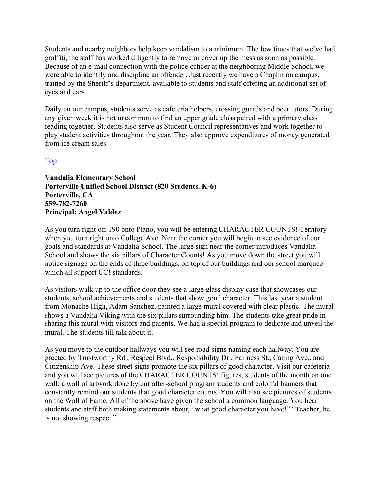Students and nearby neighbors help keep vandalism to a minimum. The few times that we've had graffiti, the staff has worked diligently to remove or cover up the mess as soon as possible. Because of an e-mail connection with the police officer at the neighboring Middle School, we were able to identify and discipline an offender. Just recently we have a Chaplin on campus, trained by the Sheriff's department, available to students and staff offering an additional set of eyes and ears.

Daily on our campus, students serve as cafeteria helpers, crossing guards and peer tutors. During any given week it is not uncommon to find an upper grade class paired with a primary class reading together. Students also serve as Student Council representatives and work together to play student activities throughout the year. They also approve expenditures of money generated from ice cream sales.

#### Top

**Vandalia Elementary School Porterville Unified School District (820 Students, K-6) Porterville, CA 559-782-7260 Principal: Angel Valdez** 

As you turn right off 190 onto Plano, you will be entering CHARACTER COUNTS! Territory when you turn right onto College Ave. Near the corner you will begin to see evidence of our goals and standards at Vandalia School. The large sign near the corner introduces Vandalia School and shows the six pillars of Character Counts! As you move down the street you will notice signage on the ends of three buildings, on top of our buildings and our school marquee which all support CC! standards.

As visitors walk up to the office door they see a large glass display case that showcases our students, school achievements and students that show good character. This last year a student from Monache High, Adam Sanchez, painted a large mural covered with clear plastic. The mural shows a Vandalia Viking with the six pillars surrounding him. The students take great pride in sharing this mural with visitors and parents. We had a special program to dedicate and unveil the mural. The students till talk about it.

As you move to the outdoor hallways you will see road signs naming each hallway. You are greeted by Trustworthy Rd., Respect Blvd., Responsibility Dr., Fairness St., Caring Ave., and Citizenship Ave. These street signs promote the six pillars of good character. Visit our cafeteria and you will see pictures of the CHARACTER COUNTS! figures, students of the month on one wall; a wall of artwork done by our after-school program students and colorful banners that constantly remind our students that good character counts. You will also see pictures of students on the Wall of Fame. All of the above have given the school a common language. You hear students and staff both making statements about, "what good character you have!" "Teacher, he is not showing respect."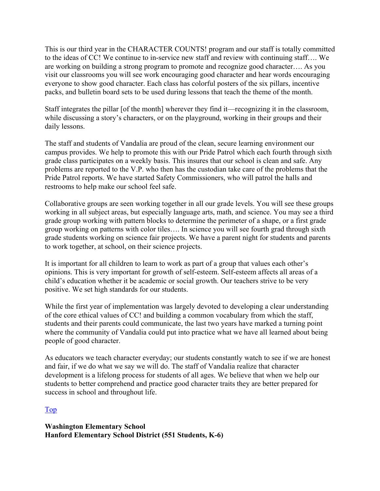This is our third year in the CHARACTER COUNTS! program and our staff is totally committed to the ideas of CC! We continue to in-service new staff and review with continuing staff…. We are working on building a strong program to promote and recognize good character…. As you visit our classrooms you will see work encouraging good character and hear words encouraging everyone to show good character. Each class has colorful posters of the six pillars, incentive packs, and bulletin board sets to be used during lessons that teach the theme of the month.

Staff integrates the pillar [of the month] wherever they find it—recognizing it in the classroom, while discussing a story's characters, or on the playground, working in their groups and their daily lessons.

The staff and students of Vandalia are proud of the clean, secure learning environment our campus provides. We help to promote this with our Pride Patrol which each fourth through sixth grade class participates on a weekly basis. This insures that our school is clean and safe. Any problems are reported to the V.P. who then has the custodian take care of the problems that the Pride Patrol reports. We have started Safety Commissioners, who will patrol the halls and restrooms to help make our school feel safe.

Collaborative groups are seen working together in all our grade levels. You will see these groups working in all subject areas, but especially language arts, math, and science. You may see a third grade group working with pattern blocks to determine the perimeter of a shape, or a first grade group working on patterns with color tiles…. In science you will see fourth grad through sixth grade students working on science fair projects. We have a parent night for students and parents to work together, at school, on their science projects.

It is important for all children to learn to work as part of a group that values each other's opinions. This is very important for growth of self-esteem. Self-esteem affects all areas of a child's education whether it be academic or social growth. Our teachers strive to be very positive. We set high standards for our students.

While the first year of implementation was largely devoted to developing a clear understanding of the core ethical values of CC! and building a common vocabulary from which the staff, students and their parents could communicate, the last two years have marked a turning point where the community of Vandalia could put into practice what we have all learned about being people of good character.

As educators we teach character everyday; our students constantly watch to see if we are honest and fair, if we do what we say we will do. The staff of Vandalia realize that character development is a lifelong process for students of all ages. We believe that when we help our students to better comprehend and practice good character traits they are better prepared for success in school and throughout life.

#### Top

**Washington Elementary School Hanford Elementary School District (551 Students, K-6)**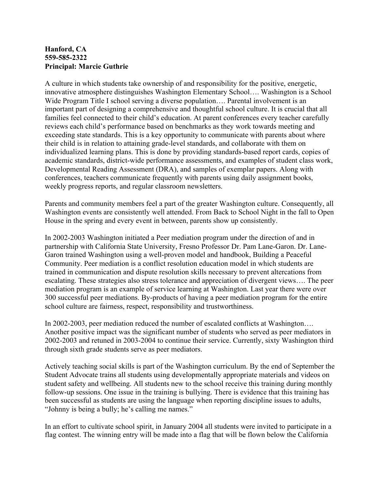#### **Hanford, CA 559-585-2322 Principal: Marcie Guthrie**

A culture in which students take ownership of and responsibility for the positive, energetic, innovative atmosphere distinguishes Washington Elementary School…. Washington is a School Wide Program Title I school serving a diverse population.... Parental involvement is an important part of designing a comprehensive and thoughtful school culture. It is crucial that all families feel connected to their child's education. At parent conferences every teacher carefully reviews each child's performance based on benchmarks as they work towards meeting and exceeding state standards. This is a key opportunity to communicate with parents about where their child is in relation to attaining grade-level standards, and collaborate with them on individualized learning plans. This is done by providing standards-based report cards, copies of academic standards, district-wide performance assessments, and examples of student class work, Developmental Reading Assessment (DRA), and samples of exemplar papers. Along with conferences, teachers communicate frequently with parents using daily assignment books, weekly progress reports, and regular classroom newsletters.

Parents and community members feel a part of the greater Washington culture. Consequently, all Washington events are consistently well attended. From Back to School Night in the fall to Open House in the spring and every event in between, parents show up consistently.

In 2002-2003 Washington initiated a Peer mediation program under the direction of and in partnership with California State University, Fresno Professor Dr. Pam Lane-Garon. Dr. Lane-Garon trained Washington using a well-proven model and handbook, Building a Peaceful Community. Peer mediation is a conflict resolution education model in which students are trained in communication and dispute resolution skills necessary to prevent altercations from escalating. These strategies also stress tolerance and appreciation of divergent views…. The peer mediation program is an example of service learning at Washington. Last year there were over 300 successful peer mediations. By-products of having a peer mediation program for the entire school culture are fairness, respect, responsibility and trustworthiness.

In 2002-2003, peer mediation reduced the number of escalated conflicts at Washington…. Another positive impact was the significant number of students who served as peer mediators in 2002-2003 and retuned in 2003-2004 to continue their service. Currently, sixty Washington third through sixth grade students serve as peer mediators.

Actively teaching social skills is part of the Washington curriculum. By the end of September the Student Advocate trains all students using developmentally appropriate materials and videos on student safety and wellbeing. All students new to the school receive this training during monthly follow-up sessions. One issue in the training is bullying. There is evidence that this training has been successful as students are using the language when reporting discipline issues to adults, "Johnny is being a bully; he's calling me names."

In an effort to cultivate school spirit, in January 2004 all students were invited to participate in a flag contest. The winning entry will be made into a flag that will be flown below the California